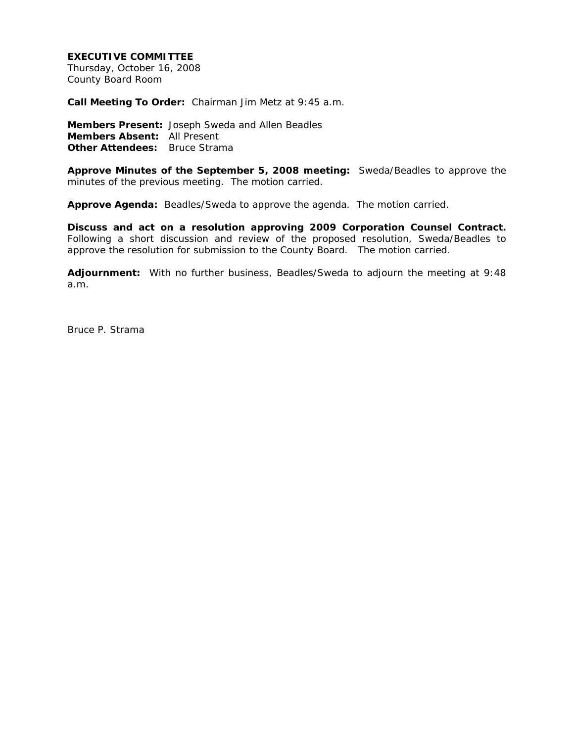## **EXECUTIVE COMMITTEE**

Thursday, October 16, 2008 County Board Room

**Call Meeting To Order:** Chairman Jim Metz at 9:45 a.m.

**Members Present:** Joseph Sweda and Allen Beadles **Members Absent:** All Present **Other Attendees:** Bruce Strama

**Approve Minutes of the September 5, 2008 meeting:** Sweda/Beadles to approve the minutes of the previous meeting. The motion carried.

**Approve Agenda:** Beadles/Sweda to approve the agenda. The motion carried.

**Discuss and act on a resolution approving 2009 Corporation Counsel Contract.** Following a short discussion and review of the proposed resolution, Sweda/Beadles to approve the resolution for submission to the County Board. The motion carried.

**Adjournment:** With no further business, Beadles/Sweda to adjourn the meeting at 9:48 a.m.

Bruce P. Strama